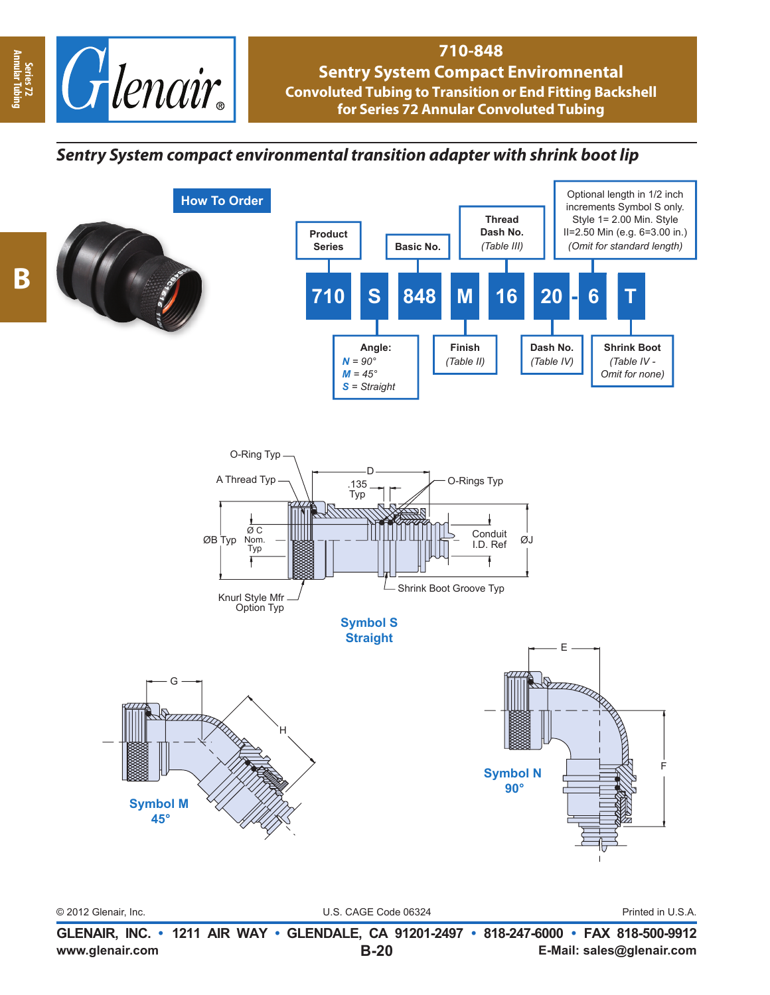

**How To Order**

# **710-848**

**Sentry System Compact Enviromnental Convoluted Tubing to Transition or End Fitting Backshell for Series 72 Annular Convoluted Tubing**

# *Sentry System compact environmental transition adapter with shrink boot lip*







© 2012 Glenair, Inc. U.S. CAGE Code 06324 Printed in U.S.A.

**www.glenair.com E-Mail: sales@glenair.com GLENAIR, INC. • 1211 AIR WAY • GLENDALE, CA 91201-2497 • 818-247-6000 • FAX 818-500-9912 B-20**

**Annular Tubing**